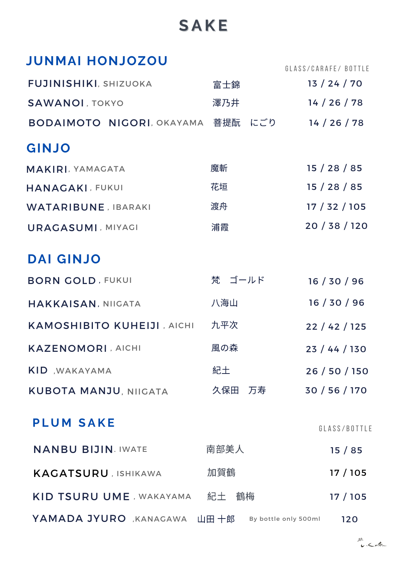# **S A K E**

|  | <b>UOSOLNOH IAMMUL</b> |
|--|------------------------|
|  |                        |

GLASS/CARAFE/ BOTTLE

| 富士錦                               | 13 / 24 / 70  |
|-----------------------------------|---------------|
| 澤乃井                               | 14 / 26 / 78  |
| BODAIMOTO NIGORI, OKAYAMA 菩提酛 にごり | 14 / 26 / 78  |
|                                   |               |
| 魔斬                                | 15/28/85      |
| 花垣                                | 15/28/85      |
| 渡舟                                | 17/32/105     |
| 浦霞                                | 20/38/120     |
|                                   |               |
| 梵 ゴールド                            | 16/30/96      |
| 八海山                               | 16/30/96      |
| 九平次                               | 22 / 42 / 125 |
| 風の森                               | 23 / 44 / 130 |
| 紀土                                | 26 / 50 / 150 |
| 久保田 万寿                            | 30 / 56 / 170 |
|                                   | GLASS/BOTTLE  |
| 南部美人                              | 15/85         |
| 加賀鶴                               | 17/105        |
|                                   | 17/105        |
|                                   |               |

YAMADA JYURO , KANAGAWA 山田 十郎 By bottle only 500ml 120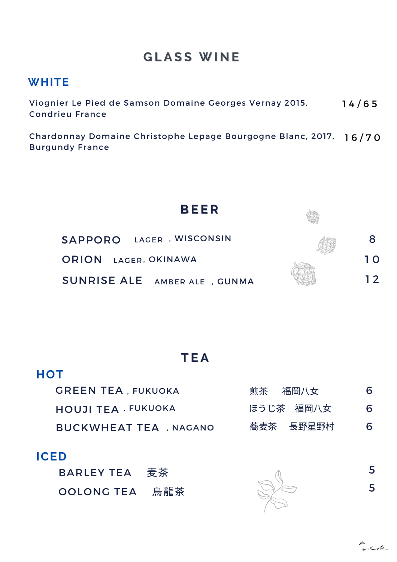## **G L A S S W I N E**

#### **WHITE**

Viognier Le Pied de Samson Domaine Georges Vernay 2015, Condrieu France 1 4 / 6 5

Chardonnay Domaine Christophe Lepage Bourgogne Blanc, 2017, 1 6 / 7 0Burgundy France



## **T E A**

| <b>GREEN TEA, FUKUOKA</b>     | 煎茶  福岡八女  | 6 |
|-------------------------------|-----------|---|
| <b>HOUJI TEA, FUKUOKA</b>     | ほうじ茶 福岡八女 | 6 |
| <b>BUCKWHEAT TEA , NAGANO</b> | 蕎麦茶 長野星野村 | 6 |

#### **ICED**

**HOT**

| <b>BARLEY TEA</b> | 麦茶  |
|-------------------|-----|
| <b>OOLONG TEA</b> | 烏龍茶 |



5

5

無<br>レベm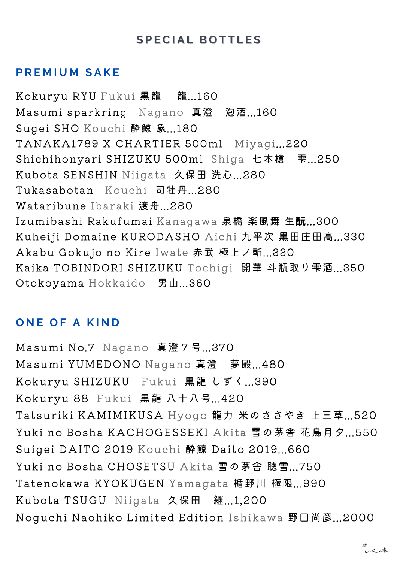#### **S P E C I A L B O T T L E S**

#### **P R E M I U M S A K E**

Kokuryu RYU Fukui 黒龍 龍...160 Masumi sparkring Nagano 真澄 泡酒...160 Sugei SHO Kouchi 酔鯨 象...180 TANAKA1789 X CHARTIER 500ml Miyagi...220 Shichihonyari SHIZUKU 500ml Shiga 七本槍 雫...250 Kubota SENSHIN Niigata 久保田 洗心...280 Tukasabotan Kouchi 司牡丹...280 Wataribune Ibaraki 渡舟...280 Izumibashi Rakufumai Kanagawa 泉橋 楽風舞 生酛...300 Kuheiji Domaine KURODASHO Aichi 九平次 黒田庄田高...330 Akabu Gokujo no Kire Iwate 赤武 極上ノ斬...330 Kaika TOBINDORI SHIZUKU Tochigi 開華 斗瓶取り雫酒...350 Otokoyama Hokkaido 男山...360

#### **O N E O F A K I N D**

Masumi No.7 Nagano 真澄7号...370 Masumi YUMEDONO Nagano 真澄 夢殿...480 Kokuryu SHIZUKU Fukui 黒龍 しずく...390 Kokuryu 88 Fukui 黒龍 八十八号...420 Tatsuriki KAMIMIKUSA Hyogo 龍力 米のささやき 上三草...520 Yuki no Bosha KACHOGESSEKI Akita 雪の茅舎 花鳥月夕...550 Suigei DAITO 2019 Kouchi 酔鯨 Daito 2019...660 Yuki no Bosha CHOSETSU Akita 雪の茅舎 聴雪...750 Tatenokawa KYOKUGEN Yamagata 楯野川 極限...990 Kubota TSUGU Niigata 久保田 継...1,200 Noguchi Naohiko Limited Edition Ishikawa 野口尚彦...2000